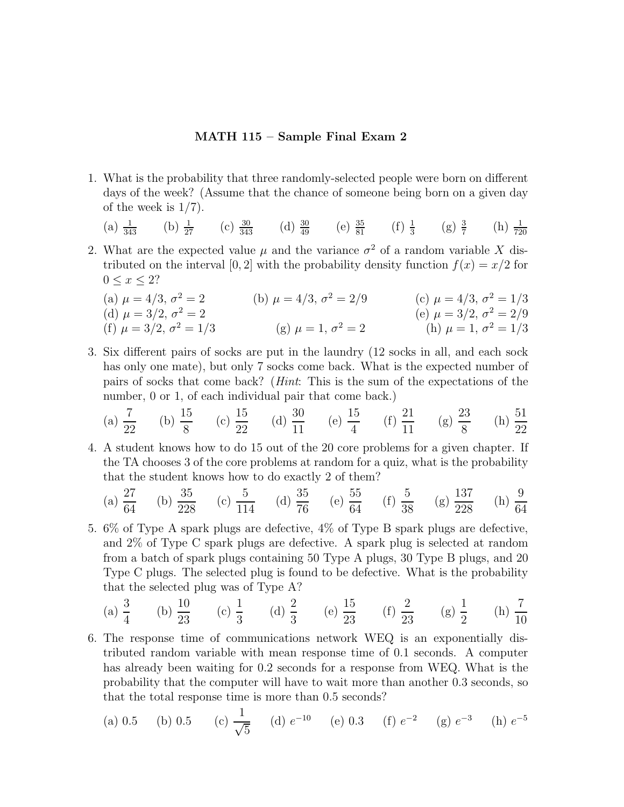## **MATH 115 – Sample Final Exam 2**

- 1. What is the probability that three randomly-selected people were born on different days of the week? (Assume that the chance of someone being born on a given day of the week is 1/7).
	- (a)  $\frac{1}{343}$  (b)  $\frac{1}{27}$  (c)  $\frac{30}{343}$  (d)  $\frac{30}{49}$  (e)  $\frac{35}{81}$  (f)  $\frac{1}{3}$  (g)  $\frac{3}{7}$  (h)  $\frac{1}{720}$
- 2. What are the expected value  $\mu$  and the variance  $\sigma^2$  of a random variable X distributed on the interval [0, 2] with the probability density function  $f(x) = x/2$  for  $0 \leq x \leq 2?$

(a) 
$$
\mu = 4/3
$$
,  $\sigma^2 = 2$   
\n(b)  $\mu = 4/3$ ,  $\sigma^2 = 2/9$   
\n(c)  $\mu = 4/3$ ,  $\sigma^2 = 1/3$   
\n(d)  $\mu = 3/2$ ,  $\sigma^2 = 2$   
\n(e)  $\mu = 3/2$ ,  $\sigma^2 = 2/9$   
\n(f)  $\mu = 3/2$ ,  $\sigma^2 = 1/3$   
\n(g)  $\mu = 1$ ,  $\sigma^2 = 2$   
\n(h)  $\mu = 1$ ,  $\sigma^2 = 1/3$ 

3. Six different pairs of socks are put in the laundry (12 socks in all, and each sock has only one mate), but only 7 socks come back. What is the expected number of pairs of socks that come back? (*Hint*: This is the sum of the expectations of the number, 0 or 1, of each individual pair that come back.)

(a) 
$$
\frac{7}{22}
$$
 (b)  $\frac{15}{8}$  (c)  $\frac{15}{22}$  (d)  $\frac{30}{11}$  (e)  $\frac{15}{4}$  (f)  $\frac{21}{11}$  (g)  $\frac{23}{8}$  (h)  $\frac{51}{22}$ 

4. A student knows how to do 15 out of the 20 core problems for a given chapter. If the TA chooses 3 of the core problems at random for a quiz, what is the probability that the student knows how to do exactly 2 of them?

(a) 
$$
\frac{27}{64}
$$
 (b)  $\frac{35}{228}$  (c)  $\frac{5}{114}$  (d)  $\frac{35}{76}$  (e)  $\frac{55}{64}$  (f)  $\frac{5}{38}$  (g)  $\frac{137}{228}$  (h)  $\frac{9}{64}$ 

5. 6% of Type A spark plugs are defective, 4% of Type B spark plugs are defective, and 2% of Type C spark plugs are defective. A spark plug is selected at random from a batch of spark plugs containing 50 Type A plugs, 30 Type B plugs, and 20 Type C plugs. The selected plug is found to be defective. What is the probability that the selected plug was of Type A?

(a) 
$$
\frac{3}{4}
$$
 (b)  $\frac{10}{23}$  (c)  $\frac{1}{3}$  (d)  $\frac{2}{3}$  (e)  $\frac{15}{23}$  (f)  $\frac{2}{23}$  (g)  $\frac{1}{2}$  (h)  $\frac{7}{10}$ 

6. The response time of communications network WEQ is an exponentially distributed random variable with mean response time of 0.1 seconds. A computer has already been waiting for 0.2 seconds for a response from WEQ. What is the probability that the computer will have to wait more than another 0.3 seconds, so that the total response time is more than 0.5 seconds?

(a) 0.5 (b) 0.5 (c) 
$$
\frac{1}{\sqrt{5}}
$$
 (d)  $e^{-10}$  (e) 0.3 (f)  $e^{-2}$  (g)  $e^{-3}$  (h)  $e^{-5}$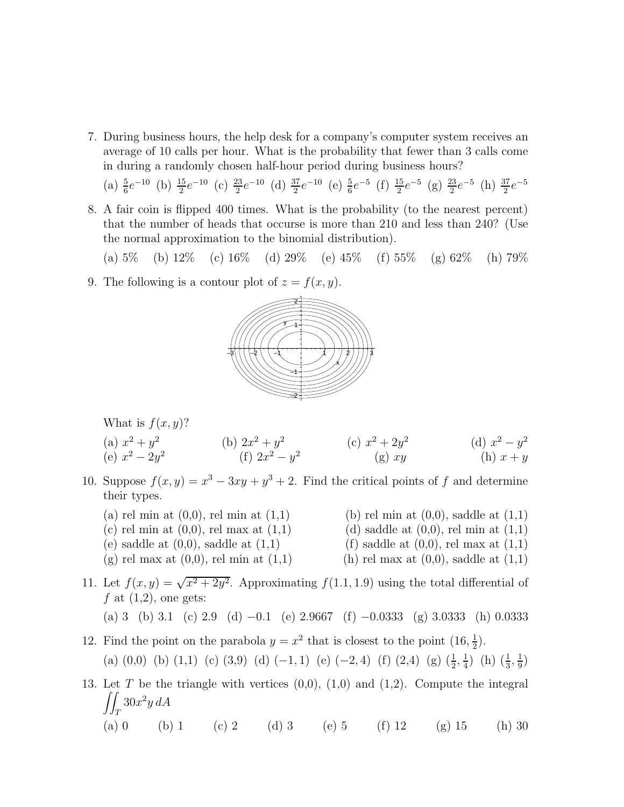7. During business hours, the help desk for a company's computer system receives an average of 10 calls per hour. What is the probability that fewer than 3 calls come in during a randomly chosen half-hour period during business hours?

(a) 
$$
\frac{5}{6}e^{-10}
$$
 (b)  $\frac{15}{2}e^{-10}$  (c)  $\frac{23}{2}e^{-10}$  (d)  $\frac{37}{2}e^{-10}$  (e)  $\frac{5}{6}e^{-5}$  (f)  $\frac{15}{2}e^{-5}$  (g)  $\frac{23}{2}e^{-5}$  (h)  $\frac{37}{2}e^{-5}$ 

8. A fair coin is flipped 400 times. What is the probability (to the nearest percent) that the number of heads that occurse is more than 210 and less than 240? (Use the normal approximation to the binomial distribution).

(a)  $5\%$  (b)  $12\%$  (c)  $16\%$  (d)  $29\%$  (e)  $45\%$  (f)  $55\%$  (g)  $62\%$  (h)  $79\%$ 

9. The following is a contour plot of  $z = f(x, y)$ .



What is  $f(x, y)$ ?

(a) 
$$
x^2 + y^2
$$
  
\n(b)  $2x^2 + y^2$   
\n(c)  $x^2 + 2y^2$   
\n(d)  $x^2 - y^2$   
\n(e)  $x^2 - 2y^2$   
\n(f)  $2x^2 - y^2$   
\n(g) xy  
\n(h)  $x + y$ 

- 10. Suppose  $f(x, y) = x^3 3xy + y^3 + 2$ . Find the critical points of f and determine their types.
	- (a) rel min at  $(0,0)$ , rel min at  $(1,1)$  (b) rel min at  $(0,0)$ , saddle at  $(1,1)$ 
		-
	- (c) rel min at  $(0,0)$ , rel max at  $(1,1)$  (d) saddle at  $(0,0)$ , rel min at  $(1,1)$
	- (e) saddle at  $(0,0)$ , saddle at  $(1,1)$  (f) saddle at  $(0,0)$ , rel max at  $(1,1)$
	- (g) rel max at  $(0,0)$ , rel min at  $(1,1)$  (h) rel max at  $(0,0)$ , saddle at  $(1,1)$
- 
- 
- 
- 11. Let  $f(x, y) = \sqrt{x^2 + 2y^2}$ . Approximating  $f(1.1, 1.9)$  using the total differential of f at  $(1,2)$ , one gets:

(a) 3 (b) 3.1 (c) 2.9 (d) −0.1 (e) 2.9667 (f) −0.0333 (g) 3.0333 (h) 0.0333

- 12. Find the point on the parabola  $y = x^2$  that is closest to the point  $(16, \frac{1}{2})$ . (a) (0,0) (b) (1,1) (c) (3,9) (d) (-1,1) (e) (-2,4) (f) (2,4) (g)  $(\frac{1}{2}, \frac{1}{4})$  (h)  $(\frac{1}{3}, \frac{1}{9})$
- 13. Let T be the triangle with vertices  $(0,0)$ ,  $(1,0)$  and  $(1,2)$ . Compute the integral  $\int$  $\int_T 30x^2y\,dA$ (a) 0 (b) 1 (c) 2 (d) 3 (e) 5 (f) 12 (g) 15 (h) 30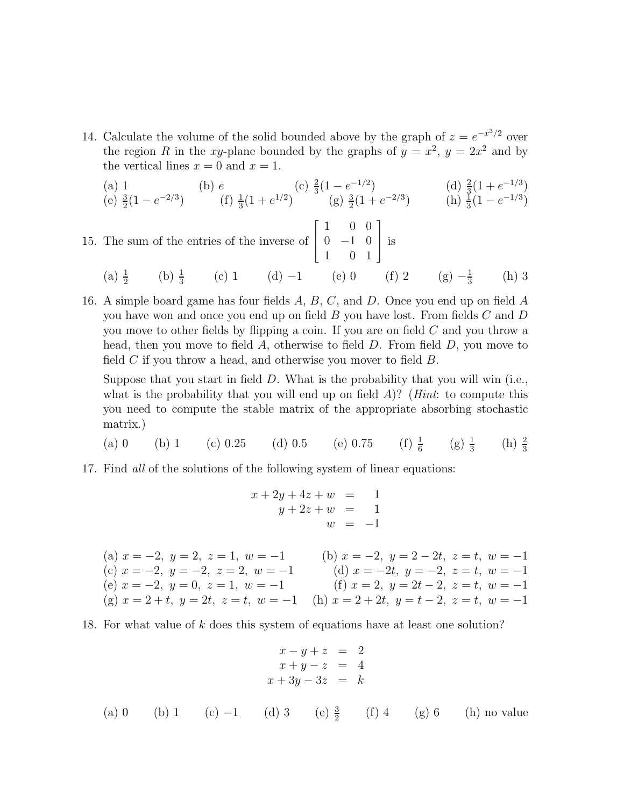14. Calculate the volume of the solid bounded above by the graph of  $z = e^{-x^3/2}$  over the region R in the xy-plane bounded by the graphs of  $y = x^2$ ,  $y = 2x^2$  and by the vertical lines  $x = 0$  and  $x = 1$ .

(a) 1 (b) e (c) 
$$
\frac{2}{3}(1 - e^{-1/3})
$$
 (d)  $\frac{2}{3}(1 + e^{-1/3})$   
\n(e)  $\frac{3}{2}(1 - e^{-2/3})$  (f)  $\frac{1}{3}(1 + e^{1/2})$  (g)  $\frac{3}{2}(1 + e^{-2/3})$  (h)  $\frac{1}{3}(1 - e^{-1/3})$ 

15. The sum of the entries of the inverse of  $\lceil$  $\overline{\phantom{a}}$ 1 00  $0 -1 0$ 1 01 1 is  $(a)$   $\frac{1}{b}$  $(b)$   $\frac{1}{2}$ (c) 1 (d) −1 (e) 0 (f) 2 (g)  $-\frac{1}{2}$  $(h)$  3

16. A simple board game has four fields A, B, C, and D. Once you end up on field A

you have won and once you end up on field  $B$  you have lost. From fields  $C$  and  $D$ you move to other fields by flipping a coin. If you are on field C and you throw a head, then you move to field A, otherwise to field D. From field D, you move to field  $C$  if you throw a head, and otherwise you mover to field  $B$ .

Suppose that you start in field  $D$ . What is the probability that you will win (i.e., what is the probability that you will end up on field A)? (*Hint*: to compute this you need to compute the stable matrix of the appropriate absorbing stochastic matrix.)

(a) 0 (b) 1 (c) 0.25 (d) 0.5 (e) 0.75 (f) 
$$
\frac{1}{6}
$$
 (g)  $\frac{1}{3}$  (h)  $\frac{2}{3}$ 

17. Find *all* of the solutions of the following system of linear equations:

$$
x + 2y + 4z + w = 1
$$
  
\n
$$
y + 2z + w = 1
$$
  
\n(a)  $x = -2$ ,  $y = 2$ ,  $z = 1$ ,  $w = -1$   
\n(b)  $x = -2$ ,  $y = 2 - 2t$ ,  $z = t$ ,  $w = -1$   
\n(c)  $x = -2$ ,  $y = -2$ ,  $z = 2$ ,  $w = -1$   
\n(d)  $x = -2t$ ,  $y = -2$ ,  $z = t$ ,  $w = -1$   
\n(e)  $x = -2$ ,  $y = 0$ ,  $z = 1$ ,  $w = -1$   
\n(f)  $x = 2$ ,  $y = 2t - 2$ ,  $z = t$ ,  $w = -1$   
\n(g)  $x = 2 + t$ ,  $y = 2t$ ,  $z = t$ ,  $w = -1$   
\n(h)  $x = 2 + 2t$ ,  $y = t - 2$ ,  $z = t$ ,  $w = -1$ 

18. For what value of k does this system of equations have at least one solution?

$$
x - y + z = 2
$$
  
\n
$$
x + y - z = 4
$$
  
\n
$$
x + 3y - 3z = k
$$
  
\n(a) 0 (b) 1 (c) -1 (d) 3 (e)  $\frac{3}{2}$  (f) 4 (g) 6 (h) no value